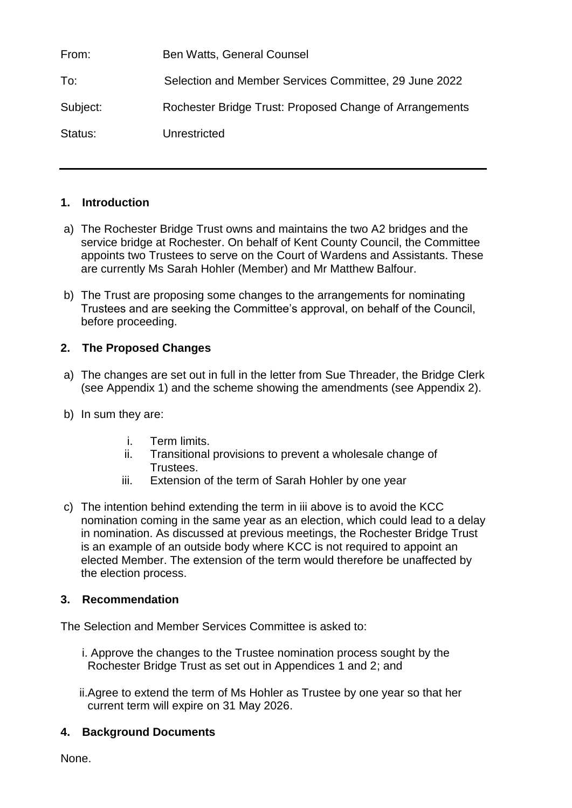From: Ben Watts, General Counsel To: Selection and Member Services Committee, 29 June 2022 Subject: Rochester Bridge Trust: Proposed Change of Arrangements Status: Unrestricted

#### **1. Introduction**

- a) The Rochester Bridge Trust owns and maintains the two A2 bridges and the service bridge at Rochester. On behalf of Kent County Council, the Committee appoints two Trustees to serve on the Court of Wardens and Assistants. These are currently Ms Sarah Hohler (Member) and Mr Matthew Balfour.
- b) The Trust are proposing some changes to the arrangements for nominating Trustees and are seeking the Committee's approval, on behalf of the Council, before proceeding.

## **2. The Proposed Changes**

- a) The changes are set out in full in the letter from Sue Threader, the Bridge Clerk (see Appendix 1) and the scheme showing the amendments (see Appendix 2).
- b) In sum they are:
	- i. Term limits.
	- ii. Transitional provisions to prevent a wholesale change of Trustees.
	- iii. Extension of the term of Sarah Hohler by one year
- c) The intention behind extending the term in iii above is to avoid the KCC nomination coming in the same year as an election, which could lead to a delay in nomination. As discussed at previous meetings, the Rochester Bridge Trust is an example of an outside body where KCC is not required to appoint an elected Member. The extension of the term would therefore be unaffected by the election process.

### **3. Recommendation**

The Selection and Member Services Committee is asked to:

- i. Approve the changes to the Trustee nomination process sought by the Rochester Bridge Trust as set out in Appendices 1 and 2; and
- ii.Agree to extend the term of Ms Hohler as Trustee by one year so that her current term will expire on 31 May 2026.

### **4. Background Documents**

None.